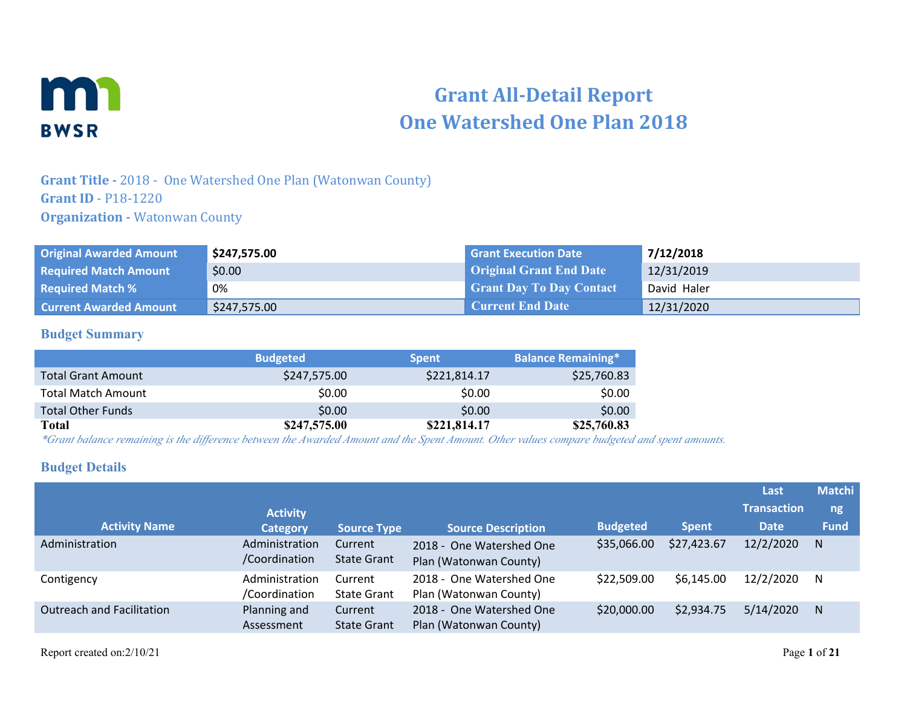

# **Grant All-Detail Report One Watershed One Plan 2018**

## **Grant Title -** 2018 - One Watershed One Plan (Watonwan County) **Grant ID** - P18-1220 **Organization - Watonwan County**

| <b>Original Awarded Amount</b> | \$247,575.00 | <b>Grant Execution Date</b>     | 7/12/2018   |
|--------------------------------|--------------|---------------------------------|-------------|
| <b>Required Match Amount</b>   | \$0.00       | <b>Original Grant End Date</b>  | 12/31/2019  |
| <b>Required Match %</b>        | 0%           | <b>Grant Day To Day Contact</b> | David Haler |
| <b>Current Awarded Amount</b>  | \$247,575.00 | <b>Current End Date</b>         | 12/31/2020  |

#### **Budget Summary**

|                           | <b>Budgeted</b> | <b>Spent</b> | <b>Balance Remaining*</b> |
|---------------------------|-----------------|--------------|---------------------------|
| <b>Total Grant Amount</b> | \$247,575.00    | \$221,814.17 | \$25,760.83               |
| <b>Total Match Amount</b> | \$0.00          | \$0.00       | \$0.00                    |
| <b>Total Other Funds</b>  | \$0.00          | \$0.00       | \$0.00                    |
| Total                     | \$247,575.00    | \$221,814.17 | \$25,760.83               |

*\*Grant balance remaining is the difference between the Awarded Amount and the Spent Amount. Other values compare budgeted and spent amounts.*

### **Budget Details**

|                                  |                                 |                               |                                                    |                 |              | Last               | <b>Matchi</b> |
|----------------------------------|---------------------------------|-------------------------------|----------------------------------------------------|-----------------|--------------|--------------------|---------------|
|                                  | <b>Activity</b>                 |                               |                                                    |                 |              | <b>Transaction</b> | ng            |
| <b>Activity Name</b>             | <b>Category</b>                 | <b>Source Type</b>            | <b>Source Description</b>                          | <b>Budgeted</b> | <b>Spent</b> | <b>Date</b>        | <b>Fund</b>   |
| Administration                   | Administration<br>/Coordination | Current<br><b>State Grant</b> | 2018 - One Watershed One<br>Plan (Watonwan County) | \$35,066.00     | \$27,423.67  | 12/2/2020          | N.            |
| Contigency                       | Administration<br>/Coordination | Current<br><b>State Grant</b> | 2018 - One Watershed One<br>Plan (Watonwan County) | \$22,509.00     | \$6,145.00   | 12/2/2020          | N             |
| <b>Outreach and Facilitation</b> | Planning and<br>Assessment      | Current<br><b>State Grant</b> | 2018 - One Watershed One<br>Plan (Watonwan County) | \$20,000.00     | \$2,934.75   | 5/14/2020          | N             |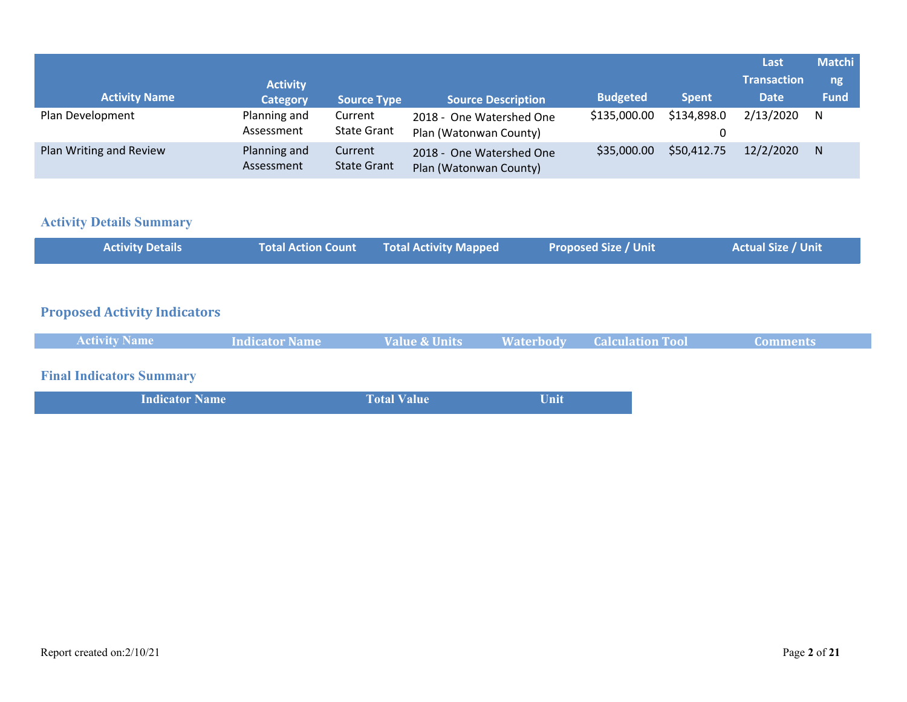|                         |                            |                               |                                                    |                 |              | Last               | <b>Matchi</b> |
|-------------------------|----------------------------|-------------------------------|----------------------------------------------------|-----------------|--------------|--------------------|---------------|
|                         | <b>Activity</b>            |                               |                                                    |                 |              | <b>Transaction</b> | ng            |
| <b>Activity Name</b>    | <b>Category</b>            | <b>Source Type</b>            | <b>Source Description</b>                          | <b>Budgeted</b> | <b>Spent</b> | <b>Date</b>        | <b>Fund</b>   |
| Plan Development        | Planning and<br>Assessment | Current<br><b>State Grant</b> | 2018 - One Watershed One<br>Plan (Watonwan County) | \$135,000.00    | \$134,898.0  | 2/13/2020          | N             |
| Plan Writing and Review | Planning and<br>Assessment | Current<br><b>State Grant</b> | 2018 - One Watershed One<br>Plan (Watonwan County) | \$35,000.00     | \$50,412.75  | 12/2/2020          | N             |

## **Activity Details Summary**

| <b>Activity Details</b> | Total Action Count Total Activity Mapped | <b>Proposed Size / Unit</b> | <b>Actual Size / Unit</b> |
|-------------------------|------------------------------------------|-----------------------------|---------------------------|
|                         |                                          |                             |                           |

## **Proposed Activity Indicators**

|--|

## **Final Indicators Summary**

| <b>Indicator Name</b> | <b>Total Value</b> | Unit |
|-----------------------|--------------------|------|
|                       |                    |      |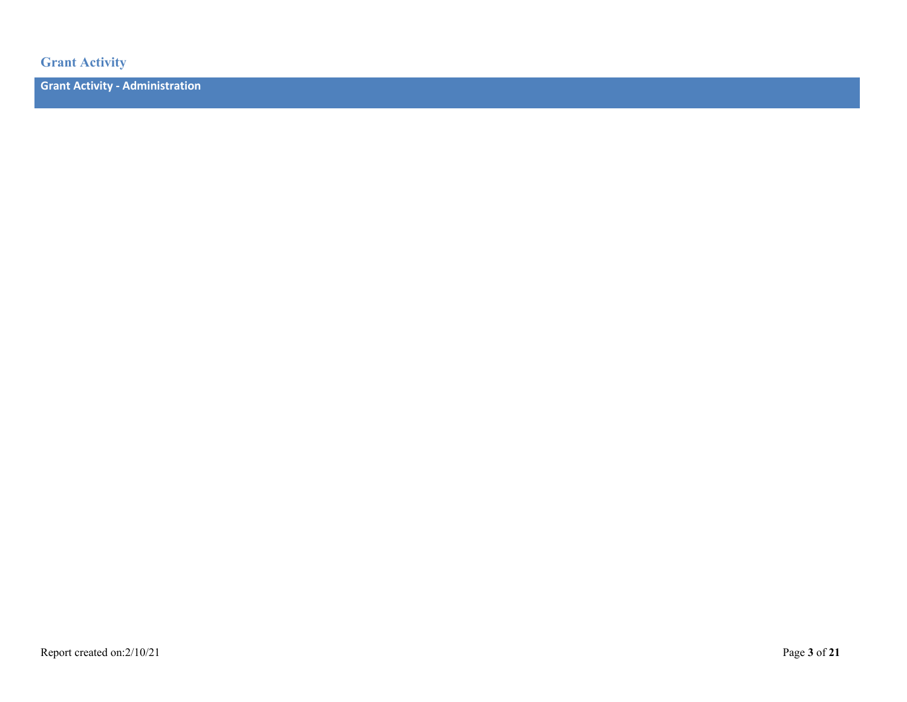**Grant Activity**

**Grant Activity - Administration**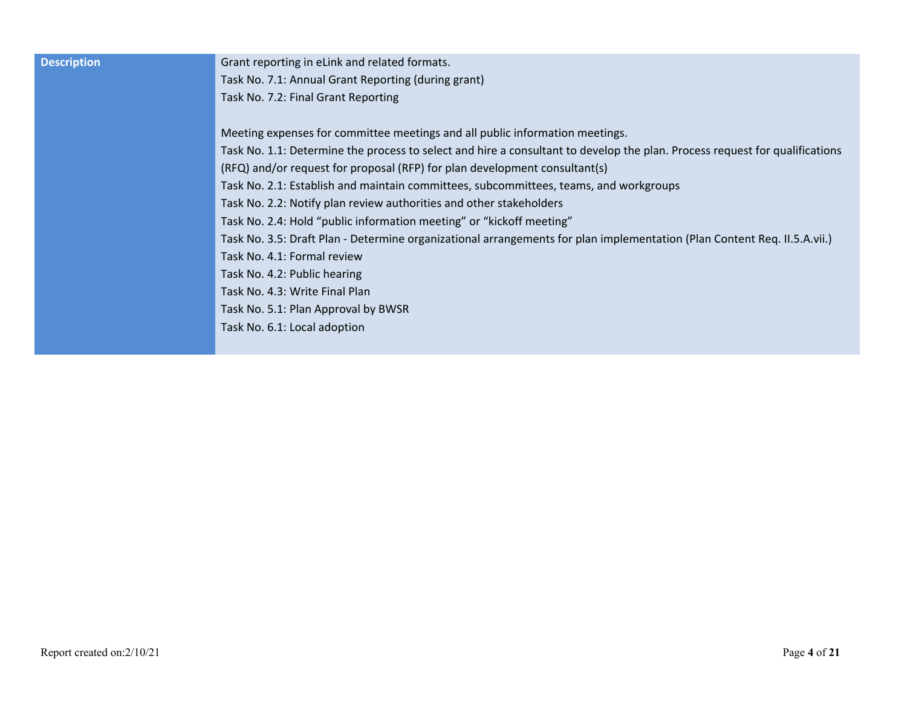| <b>Description</b> | Grant reporting in eLink and related formats.                                                                               |
|--------------------|-----------------------------------------------------------------------------------------------------------------------------|
|                    | Task No. 7.1: Annual Grant Reporting (during grant)                                                                         |
|                    | Task No. 7.2: Final Grant Reporting                                                                                         |
|                    | Meeting expenses for committee meetings and all public information meetings.                                                |
|                    | Task No. 1.1: Determine the process to select and hire a consultant to develop the plan. Process request for qualifications |
|                    | (RFQ) and/or request for proposal (RFP) for plan development consultant(s)                                                  |
|                    | Task No. 2.1: Establish and maintain committees, subcommittees, teams, and workgroups                                       |
|                    | Task No. 2.2: Notify plan review authorities and other stakeholders                                                         |
|                    | Task No. 2.4: Hold "public information meeting" or "kickoff meeting"                                                        |
|                    | Task No. 3.5: Draft Plan - Determine organizational arrangements for plan implementation (Plan Content Req. II.5.A.vii.)    |
|                    | Task No. 4.1: Formal review                                                                                                 |
|                    | Task No. 4.2: Public hearing                                                                                                |
|                    | Task No. 4.3: Write Final Plan                                                                                              |
|                    | Task No. 5.1: Plan Approval by BWSR                                                                                         |
|                    | Task No. 6.1: Local adoption                                                                                                |
|                    |                                                                                                                             |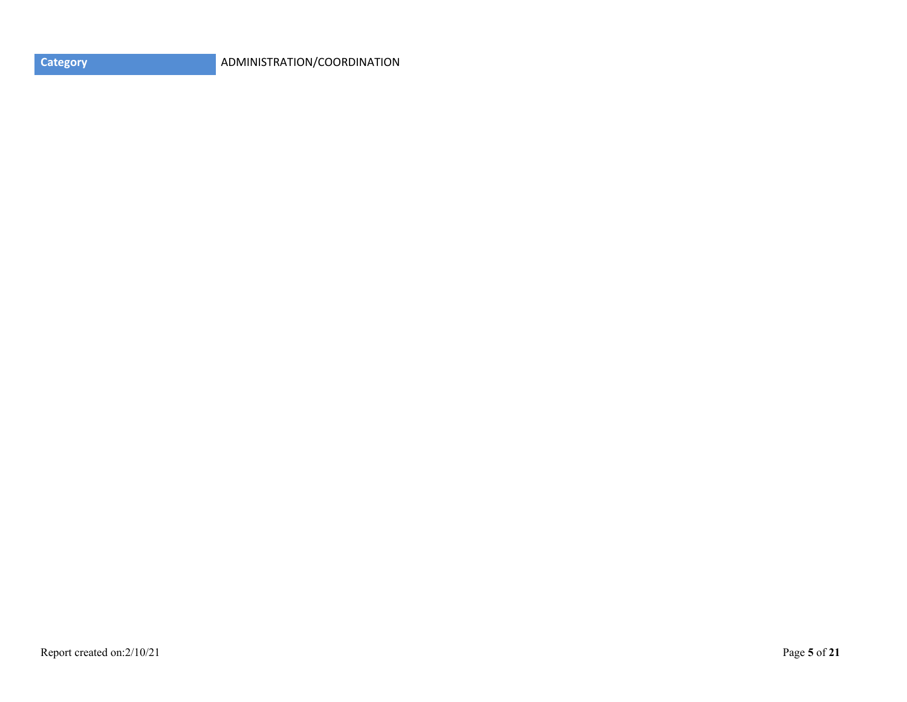|  | <b>Category</b> |
|--|-----------------|
|  |                 |
|  |                 |

**Category** ADMINISTRATION/COORDINATION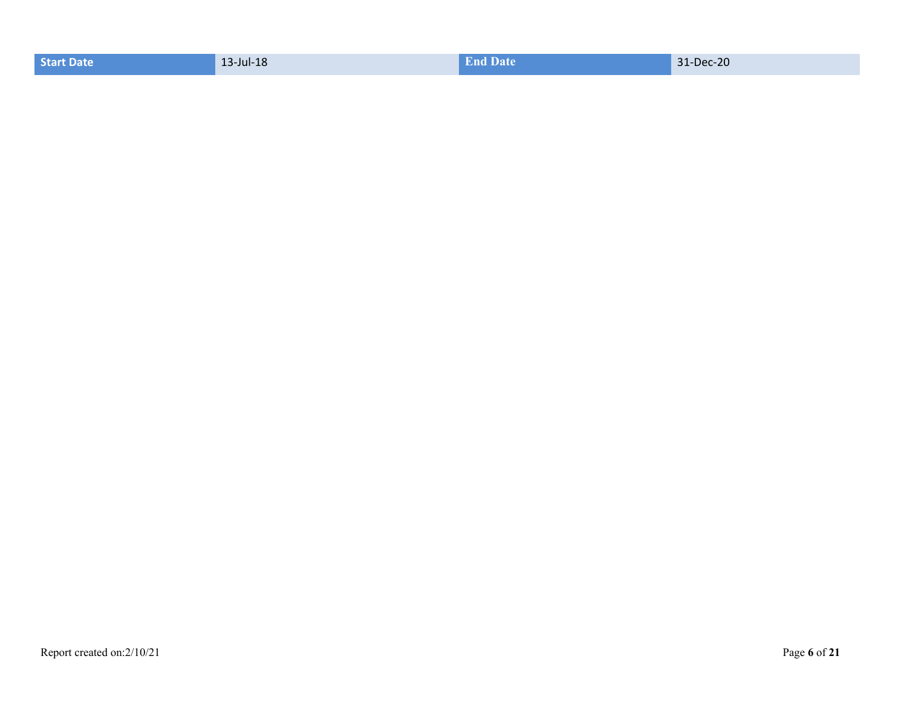|  | Start Date | 13-Jul-18 | <b>End Date</b> | 31-Dec-20 |
|--|------------|-----------|-----------------|-----------|
|--|------------|-----------|-----------------|-----------|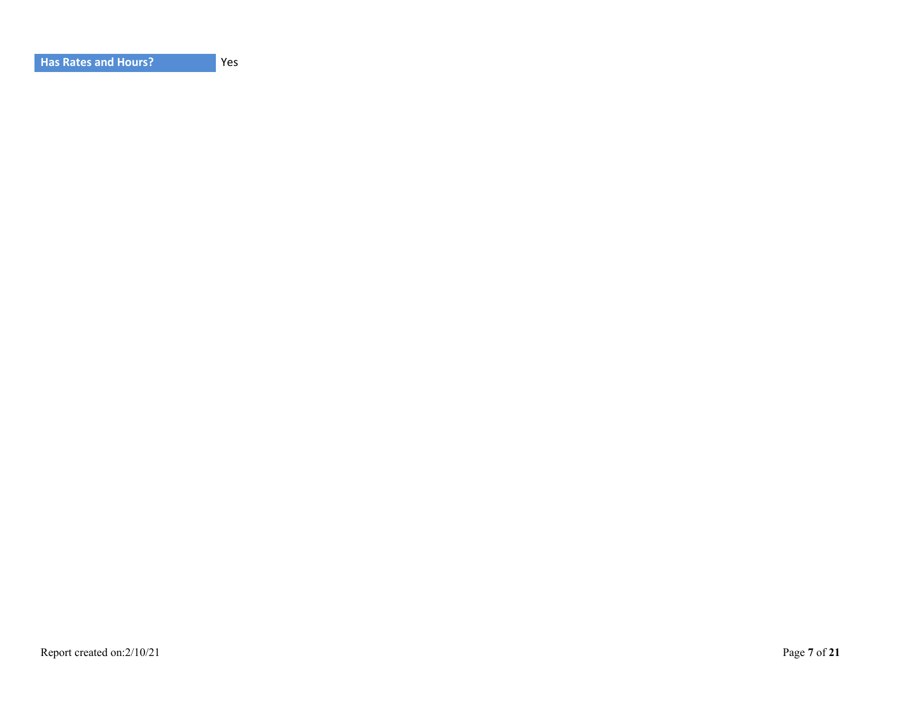Yes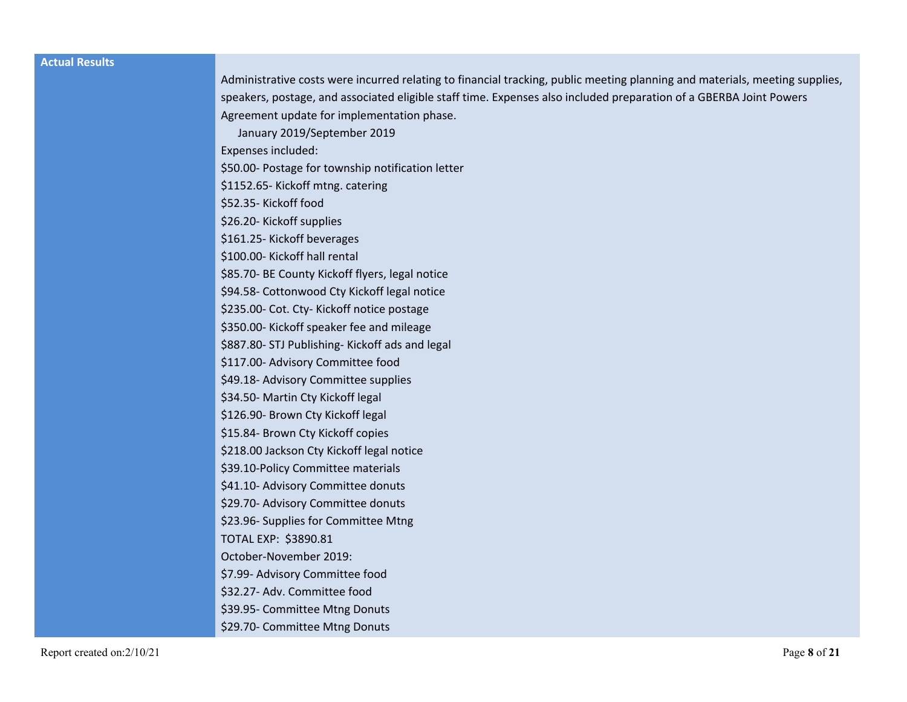#### **Actual Results**

| Administrative costs were incurred relating to financial tracking, public meeting planning and materials, meeting supplies, |
|-----------------------------------------------------------------------------------------------------------------------------|
| speakers, postage, and associated eligible staff time. Expenses also included preparation of a GBERBA Joint Powers          |
| Agreement update for implementation phase.                                                                                  |
| January 2019/September 2019                                                                                                 |
| Expenses included:                                                                                                          |
| \$50.00- Postage for township notification letter                                                                           |
| \$1152.65-Kickoff mtng. catering                                                                                            |
| \$52.35-Kickoff food                                                                                                        |
| \$26.20- Kickoff supplies                                                                                                   |
| \$161.25- Kickoff beverages                                                                                                 |
| \$100.00- Kickoff hall rental                                                                                               |
| \$85.70- BE County Kickoff flyers, legal notice                                                                             |
| \$94.58- Cottonwood Cty Kickoff legal notice                                                                                |
| \$235.00- Cot. Cty- Kickoff notice postage                                                                                  |
| \$350.00- Kickoff speaker fee and mileage                                                                                   |
| \$887.80- STJ Publishing- Kickoff ads and legal                                                                             |
| \$117.00- Advisory Committee food                                                                                           |
| \$49.18- Advisory Committee supplies                                                                                        |
| \$34.50- Martin Cty Kickoff legal                                                                                           |
| \$126.90- Brown Cty Kickoff legal                                                                                           |
| \$15.84- Brown Cty Kickoff copies                                                                                           |
| \$218.00 Jackson Cty Kickoff legal notice                                                                                   |
| \$39.10-Policy Committee materials                                                                                          |
| \$41.10- Advisory Committee donuts                                                                                          |
| \$29.70- Advisory Committee donuts                                                                                          |
| \$23.96- Supplies for Committee Mtng                                                                                        |
| TOTAL EXP: \$3890.81                                                                                                        |
| October-November 2019:                                                                                                      |
| \$7.99- Advisory Committee food                                                                                             |
| \$32.27- Adv. Committee food                                                                                                |
| \$39.95- Committee Mtng Donuts                                                                                              |
| \$29.70- Committee Mtng Donuts                                                                                              |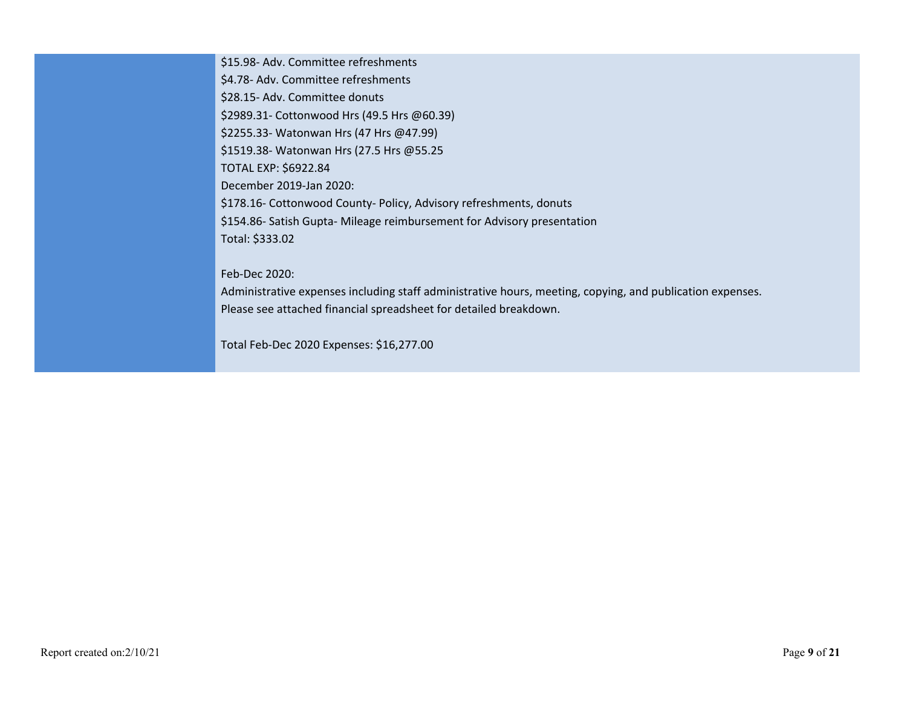\$15.98- Adv. Committee refreshments \$4.78- Adv. Committee refreshments \$28.15- Adv. Committee donuts \$2989.31- Cottonwood Hrs (49.5 Hrs @60.39) \$2255.33- Watonwan Hrs (47 Hrs @47.99) \$1519.38- Watonwan Hrs (27.5 Hrs @55.25 TOTAL EXP: \$6922.84 December 2019-Jan 2020: \$178.16- Cottonwood County- Policy, Advisory refreshments, donuts \$154.86- Satish Gupta- Mileage reimbursement for Advisory presentation Total: \$333.02

Feb-Dec 2020:

Administrative expenses including staff administrative hours, meeting, copying, and publication expenses. Please see attached financial spreadsheet for detailed breakdown.

Total Feb-Dec 2020 Expenses: \$16,277.00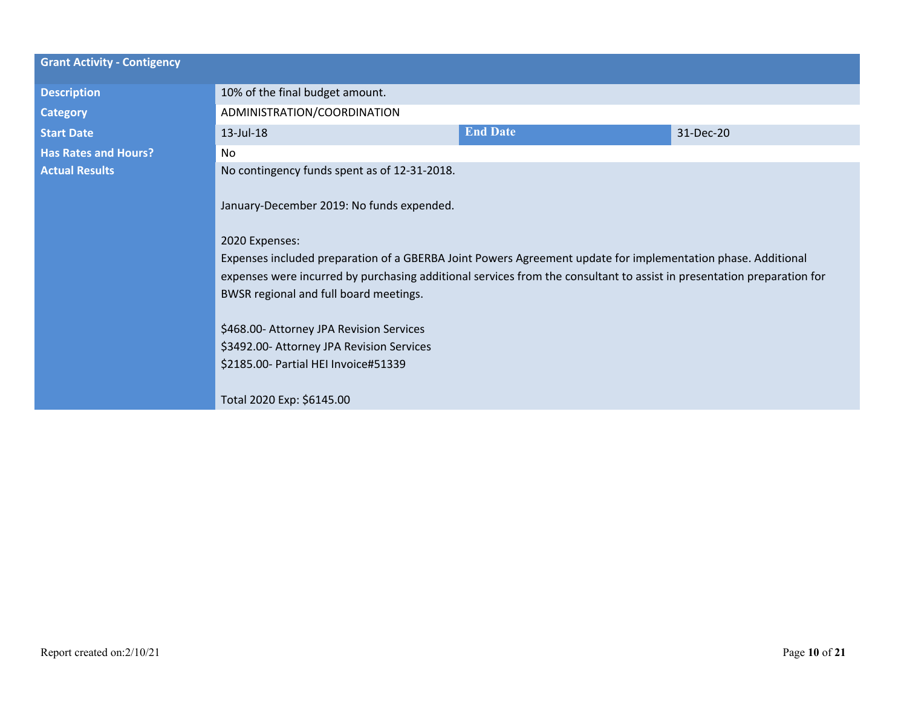| <b>Grant Activity - Contigency</b> |                                                                                                                                                                                                              |                 |           |
|------------------------------------|--------------------------------------------------------------------------------------------------------------------------------------------------------------------------------------------------------------|-----------------|-----------|
|                                    |                                                                                                                                                                                                              |                 |           |
| <b>Description</b>                 | 10% of the final budget amount.                                                                                                                                                                              |                 |           |
| <b>Category</b>                    | ADMINISTRATION/COORDINATION                                                                                                                                                                                  |                 |           |
| <b>Start Date</b>                  | 13-Jul-18                                                                                                                                                                                                    | <b>End Date</b> | 31-Dec-20 |
| <b>Has Rates and Hours?</b>        | <b>No</b>                                                                                                                                                                                                    |                 |           |
| <b>Actual Results</b>              | No contingency funds spent as of 12-31-2018.                                                                                                                                                                 |                 |           |
|                                    | January-December 2019: No funds expended.                                                                                                                                                                    |                 |           |
|                                    | 2020 Expenses:                                                                                                                                                                                               |                 |           |
|                                    | Expenses included preparation of a GBERBA Joint Powers Agreement update for implementation phase. Additional                                                                                                 |                 |           |
|                                    | expenses were incurred by purchasing additional services from the consultant to assist in presentation preparation for<br>BWSR regional and full board meetings.<br>\$468.00- Attorney JPA Revision Services |                 |           |
|                                    |                                                                                                                                                                                                              |                 |           |
|                                    |                                                                                                                                                                                                              |                 |           |
|                                    |                                                                                                                                                                                                              |                 |           |
|                                    | \$3492.00- Attorney JPA Revision Services<br>\$2185.00- Partial HEI Invoice#51339                                                                                                                            |                 |           |
|                                    |                                                                                                                                                                                                              |                 |           |
|                                    | Total 2020 Exp: \$6145.00                                                                                                                                                                                    |                 |           |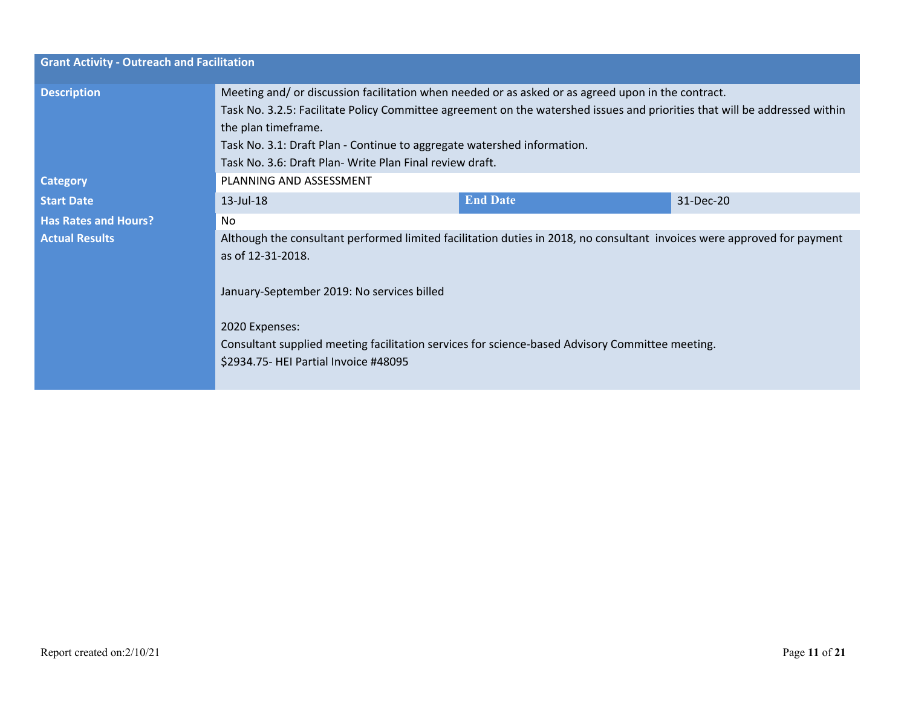| <b>Grant Activity - Outreach and Facilitation</b> |                                                                                                                                                                                                                                                                                                                                                                                                |                 |           |  |
|---------------------------------------------------|------------------------------------------------------------------------------------------------------------------------------------------------------------------------------------------------------------------------------------------------------------------------------------------------------------------------------------------------------------------------------------------------|-----------------|-----------|--|
| <b>Description</b>                                | Meeting and/ or discussion facilitation when needed or as asked or as agreed upon in the contract.<br>Task No. 3.2.5: Facilitate Policy Committee agreement on the watershed issues and priorities that will be addressed within<br>the plan timeframe.<br>Task No. 3.1: Draft Plan - Continue to aggregate watershed information.<br>Task No. 3.6: Draft Plan- Write Plan Final review draft. |                 |           |  |
| <b>Category</b>                                   | PLANNING AND ASSESSMENT                                                                                                                                                                                                                                                                                                                                                                        |                 |           |  |
| <b>Start Date</b>                                 | 13-Jul-18                                                                                                                                                                                                                                                                                                                                                                                      | <b>End Date</b> | 31-Dec-20 |  |
| <b>Has Rates and Hours?</b>                       | No.                                                                                                                                                                                                                                                                                                                                                                                            |                 |           |  |
| <b>Actual Results</b>                             | Although the consultant performed limited facilitation duties in 2018, no consultant invoices were approved for payment<br>as of 12-31-2018.<br>January-September 2019: No services billed                                                                                                                                                                                                     |                 |           |  |
|                                                   | 2020 Expenses:<br>Consultant supplied meeting facilitation services for science-based Advisory Committee meeting.<br>\$2934.75- HEI Partial Invoice #48095                                                                                                                                                                                                                                     |                 |           |  |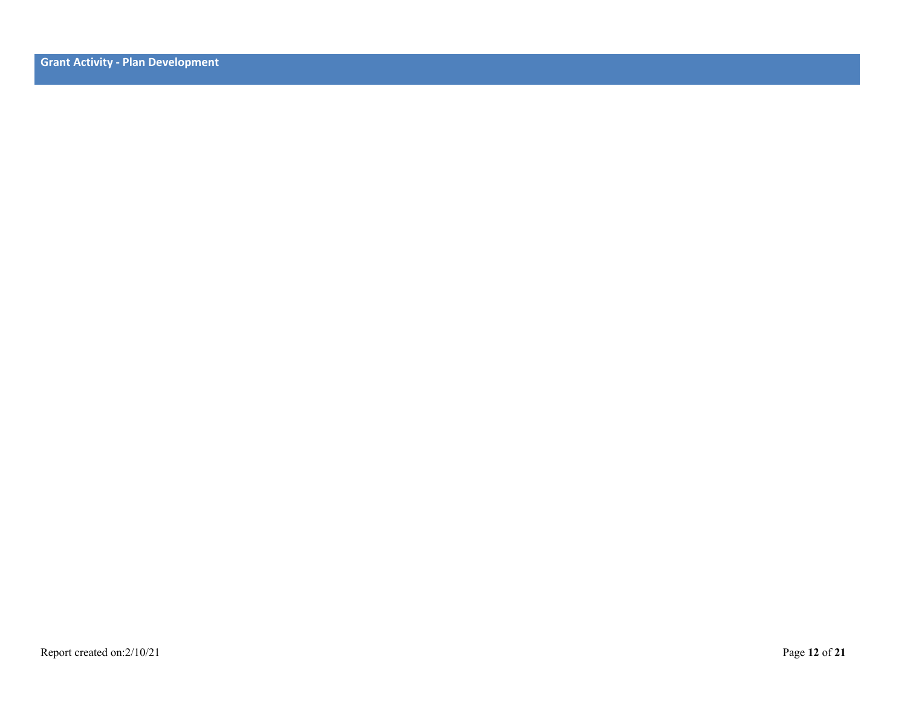**Grant Activity - Plan Development**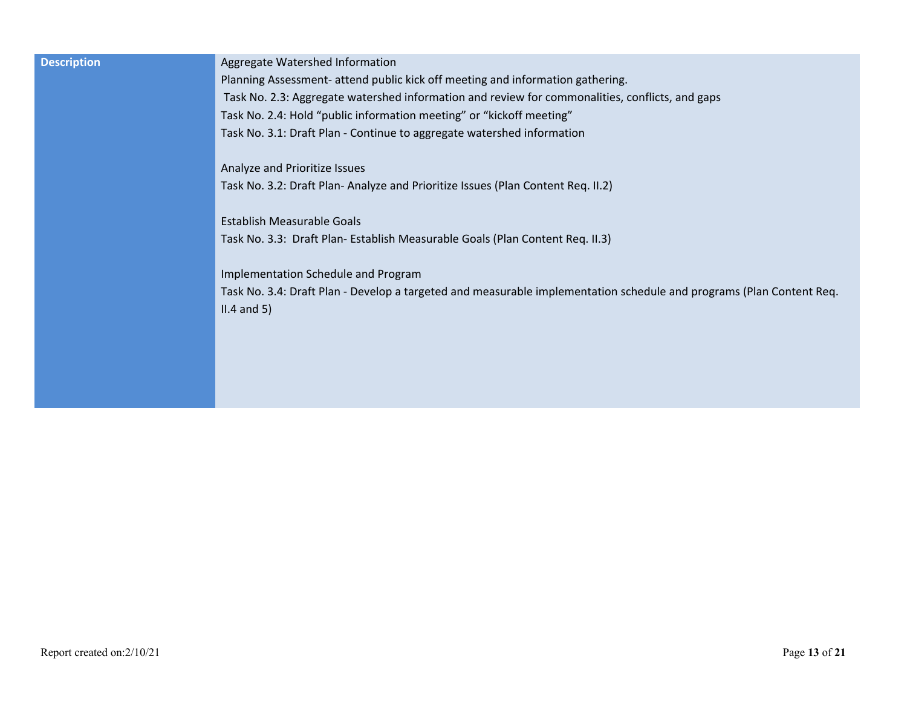| <b>Description</b> | Aggregate Watershed Information                                                                                      |
|--------------------|----------------------------------------------------------------------------------------------------------------------|
|                    | Planning Assessment- attend public kick off meeting and information gathering.                                       |
|                    | Task No. 2.3: Aggregate watershed information and review for commonalities, conflicts, and gaps                      |
|                    | Task No. 2.4: Hold "public information meeting" or "kickoff meeting"                                                 |
|                    | Task No. 3.1: Draft Plan - Continue to aggregate watershed information                                               |
|                    | Analyze and Prioritize Issues                                                                                        |
|                    | Task No. 3.2: Draft Plan-Analyze and Prioritize Issues (Plan Content Req. II.2)                                      |
|                    | Establish Measurable Goals                                                                                           |
|                    | Task No. 3.3: Draft Plan- Establish Measurable Goals (Plan Content Req. II.3)                                        |
|                    | Implementation Schedule and Program                                                                                  |
|                    | Task No. 3.4: Draft Plan - Develop a targeted and measurable implementation schedule and programs (Plan Content Req. |
|                    | $II.4$ and 5)                                                                                                        |
|                    |                                                                                                                      |
|                    |                                                                                                                      |
|                    |                                                                                                                      |
|                    |                                                                                                                      |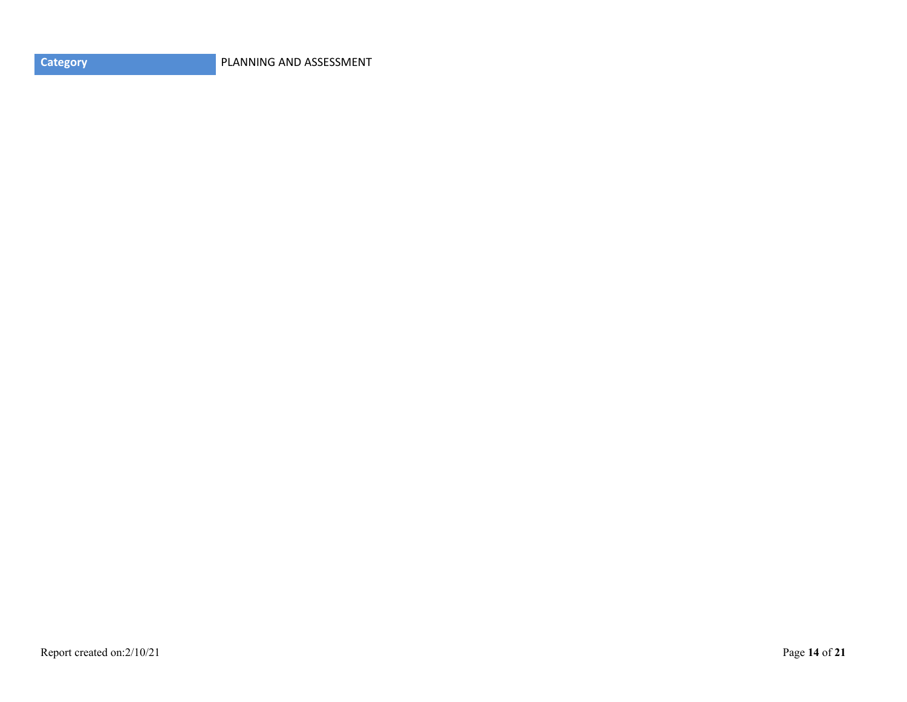**Category PLANNING AND ASSESSMENT**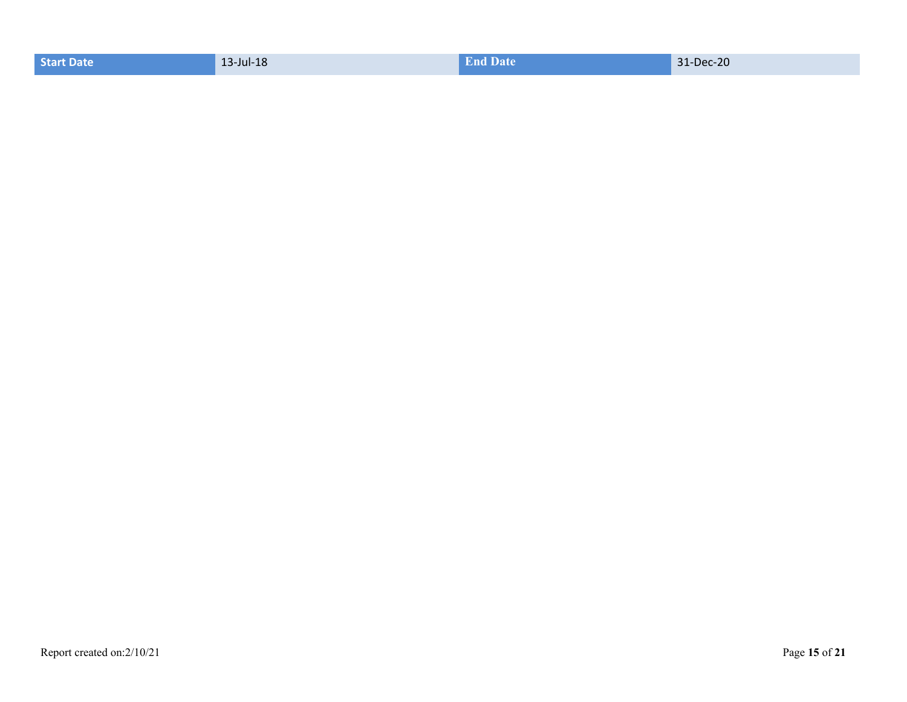|  | Start Date | 13-Jul-18 | <b>End Date</b> | 31-Dec-20 |
|--|------------|-----------|-----------------|-----------|
|--|------------|-----------|-----------------|-----------|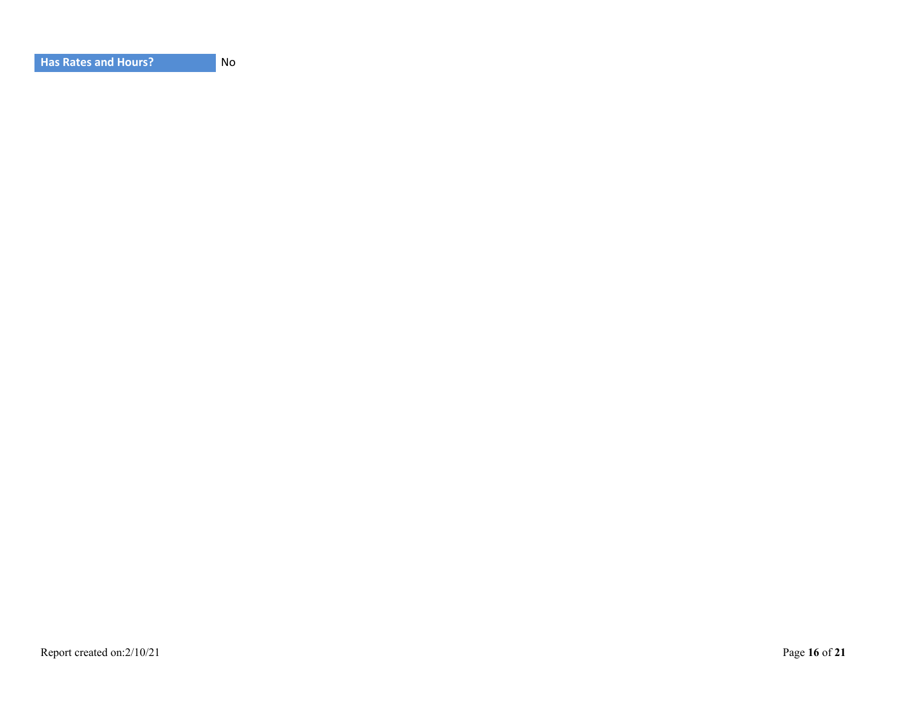| <b>Has Rates and Hours?</b> |  |
|-----------------------------|--|
|-----------------------------|--|

**No**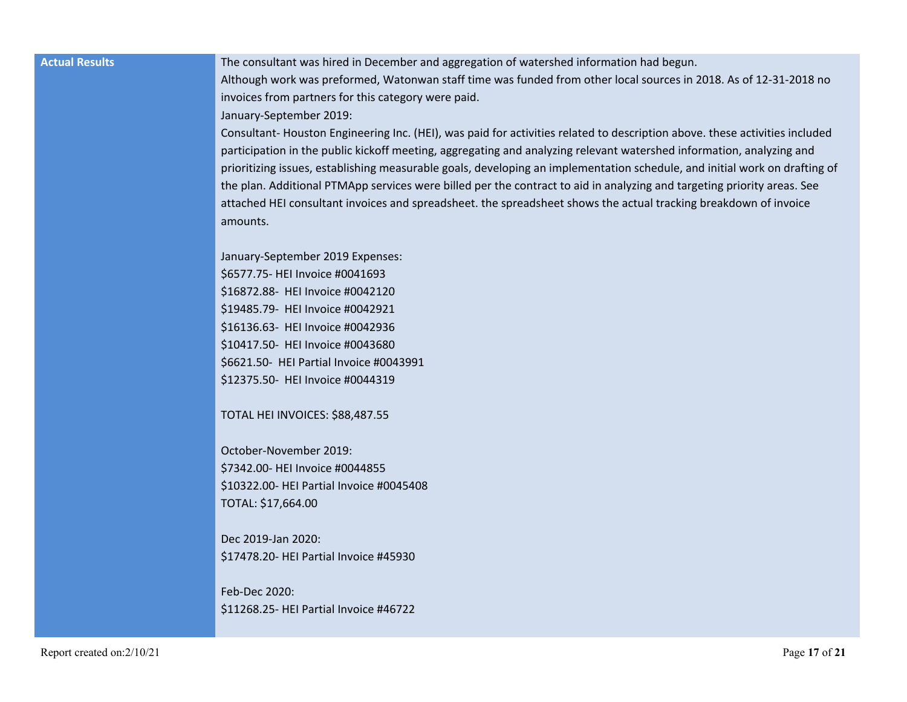**Actual Results** The consultant was hired in December and aggregation of watershed information had begun.

Although work was preformed, Watonwan staff time was funded from other local sources in 2018. As of 12-31-2018 no invoices from partners for this category were paid.

January-September 2019:

Consultant- Houston Engineering Inc. (HEI), was paid for activities related to description above. these activities included participation in the public kickoff meeting, aggregating and analyzing relevant watershed information, analyzing and prioritizing issues, establishing measurable goals, developing an implementation schedule, and initial work on drafting of the plan. Additional PTMApp services were billed per the contract to aid in analyzing and targeting priority areas. See attached HEI consultant invoices and spreadsheet. the spreadsheet shows the actual tracking breakdown of invoice amounts.

January-September 2019 Expenses: \$6577.75- HEI Invoice #0041693 \$16872.88- HEI Invoice #0042120 \$19485.79- HEI Invoice #0042921 \$16136.63- HEI Invoice #0042936 \$10417.50- HEI Invoice #0043680 \$6621.50- HEI Partial Invoice #0043991 \$12375.50- HEI Invoice #0044319

TOTAL HEI INVOICES: \$88,487.55

October-November 2019: \$7342.00- HEI Invoice #0044855 \$10322.00- HEI Partial Invoice #0045408 TOTAL: \$17,664.00

Dec 2019-Jan 2020: \$17478.20- HEI Partial Invoice #45930

Feb-Dec 2020: \$11268.25- HEI Partial Invoice #46722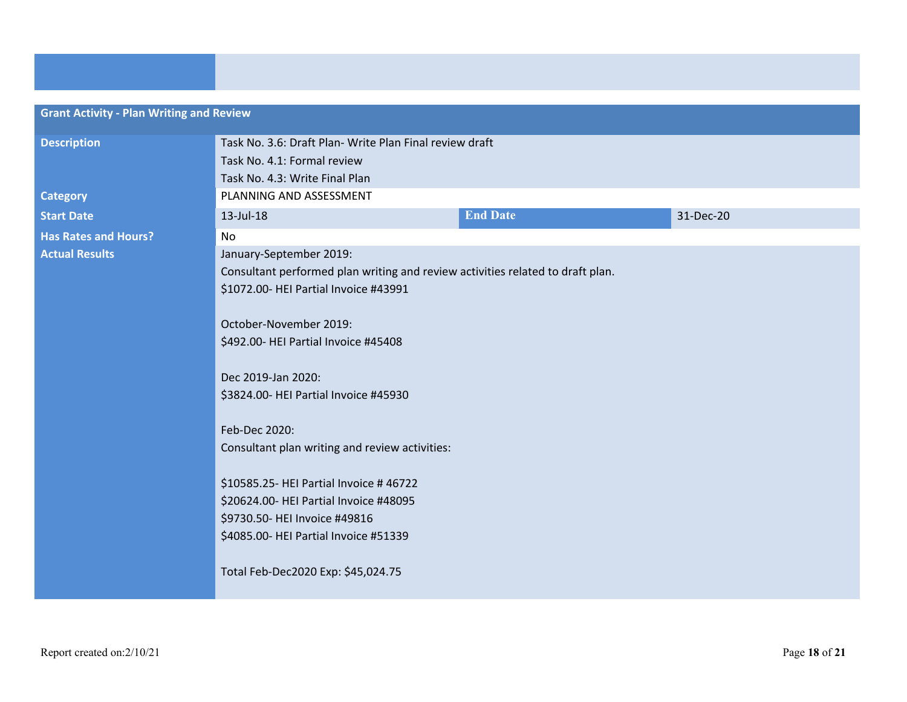| <b>Grant Activity - Plan Writing and Review</b> |                                                                                                                                                                                                  |                 |           |  |
|-------------------------------------------------|--------------------------------------------------------------------------------------------------------------------------------------------------------------------------------------------------|-----------------|-----------|--|
| <b>Description</b>                              | Task No. 3.6: Draft Plan- Write Plan Final review draft<br>Task No. 4.1: Formal review<br>Task No. 4.3: Write Final Plan                                                                         |                 |           |  |
| <b>Category</b>                                 | PLANNING AND ASSESSMENT                                                                                                                                                                          |                 |           |  |
| <b>Start Date</b>                               | 13-Jul-18                                                                                                                                                                                        | <b>End Date</b> | 31-Dec-20 |  |
| <b>Has Rates and Hours?</b>                     | <b>No</b>                                                                                                                                                                                        |                 |           |  |
| <b>Actual Results</b>                           | January-September 2019:<br>Consultant performed plan writing and review activities related to draft plan.<br>\$1072.00- HEI Partial Invoice #43991<br>October-November 2019:                     |                 |           |  |
|                                                 |                                                                                                                                                                                                  |                 |           |  |
|                                                 |                                                                                                                                                                                                  |                 |           |  |
|                                                 | \$492.00- HEI Partial Invoice #45408                                                                                                                                                             |                 |           |  |
|                                                 | Dec 2019-Jan 2020:<br>\$3824.00- HEI Partial Invoice #45930                                                                                                                                      |                 |           |  |
|                                                 | Feb-Dec 2020:                                                                                                                                                                                    |                 |           |  |
|                                                 | Consultant plan writing and review activities:                                                                                                                                                   |                 |           |  |
|                                                 | \$10585.25- HEI Partial Invoice #46722<br>\$20624.00- HEI Partial Invoice #48095<br>\$9730.50- HEI Invoice #49816<br>\$4085.00- HEI Partial Invoice #51339<br>Total Feb-Dec2020 Exp: \$45,024.75 |                 |           |  |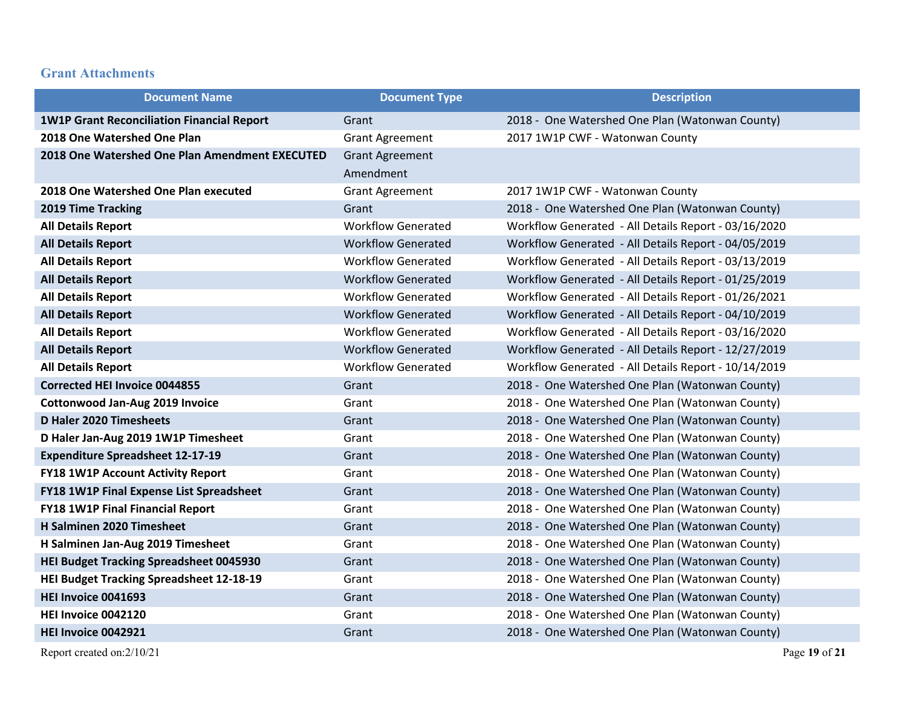## **Grant Attachments**

| <b>Document Name</b>                              | <b>Document Type</b>      | <b>Description</b>                                   |
|---------------------------------------------------|---------------------------|------------------------------------------------------|
| <b>1W1P Grant Reconciliation Financial Report</b> | Grant                     | 2018 - One Watershed One Plan (Watonwan County)      |
| 2018 One Watershed One Plan                       | <b>Grant Agreement</b>    | 2017 1W1P CWF - Watonwan County                      |
| 2018 One Watershed One Plan Amendment EXECUTED    | <b>Grant Agreement</b>    |                                                      |
|                                                   | Amendment                 |                                                      |
| 2018 One Watershed One Plan executed              | <b>Grant Agreement</b>    | 2017 1W1P CWF - Watonwan County                      |
| 2019 Time Tracking                                | Grant                     | 2018 - One Watershed One Plan (Watonwan County)      |
| <b>All Details Report</b>                         | <b>Workflow Generated</b> | Workflow Generated - All Details Report - 03/16/2020 |
| <b>All Details Report</b>                         | <b>Workflow Generated</b> | Workflow Generated - All Details Report - 04/05/2019 |
| <b>All Details Report</b>                         | <b>Workflow Generated</b> | Workflow Generated - All Details Report - 03/13/2019 |
| <b>All Details Report</b>                         | <b>Workflow Generated</b> | Workflow Generated - All Details Report - 01/25/2019 |
| <b>All Details Report</b>                         | <b>Workflow Generated</b> | Workflow Generated - All Details Report - 01/26/2021 |
| <b>All Details Report</b>                         | <b>Workflow Generated</b> | Workflow Generated - All Details Report - 04/10/2019 |
| <b>All Details Report</b>                         | <b>Workflow Generated</b> | Workflow Generated - All Details Report - 03/16/2020 |
| <b>All Details Report</b>                         | <b>Workflow Generated</b> | Workflow Generated - All Details Report - 12/27/2019 |
| <b>All Details Report</b>                         | <b>Workflow Generated</b> | Workflow Generated - All Details Report - 10/14/2019 |
| <b>Corrected HEI Invoice 0044855</b>              | Grant                     | 2018 - One Watershed One Plan (Watonwan County)      |
| <b>Cottonwood Jan-Aug 2019 Invoice</b>            | Grant                     | 2018 - One Watershed One Plan (Watonwan County)      |
| D Haler 2020 Timesheets                           | Grant                     | 2018 - One Watershed One Plan (Watonwan County)      |
| D Haler Jan-Aug 2019 1W1P Timesheet               | Grant                     | 2018 - One Watershed One Plan (Watonwan County)      |
| <b>Expenditure Spreadsheet 12-17-19</b>           | Grant                     | 2018 - One Watershed One Plan (Watonwan County)      |
| <b>FY18 1W1P Account Activity Report</b>          | Grant                     | 2018 - One Watershed One Plan (Watonwan County)      |
| FY18 1W1P Final Expense List Spreadsheet          | Grant                     | 2018 - One Watershed One Plan (Watonwan County)      |
| <b>FY18 1W1P Final Financial Report</b>           | Grant                     | 2018 - One Watershed One Plan (Watonwan County)      |
| H Salminen 2020 Timesheet                         | Grant                     | 2018 - One Watershed One Plan (Watonwan County)      |
| H Salminen Jan-Aug 2019 Timesheet                 | Grant                     | 2018 - One Watershed One Plan (Watonwan County)      |
| <b>HEI Budget Tracking Spreadsheet 0045930</b>    | Grant                     | 2018 - One Watershed One Plan (Watonwan County)      |
| <b>HEI Budget Tracking Spreadsheet 12-18-19</b>   | Grant                     | 2018 - One Watershed One Plan (Watonwan County)      |
| HEI Invoice 0041693                               | Grant                     | 2018 - One Watershed One Plan (Watonwan County)      |
| HEI Invoice 0042120                               | Grant                     | 2018 - One Watershed One Plan (Watonwan County)      |
| HEI Invoice 0042921                               | Grant                     | 2018 - One Watershed One Plan (Watonwan County)      |

Report created on:2/10/21 Page **19** of **21**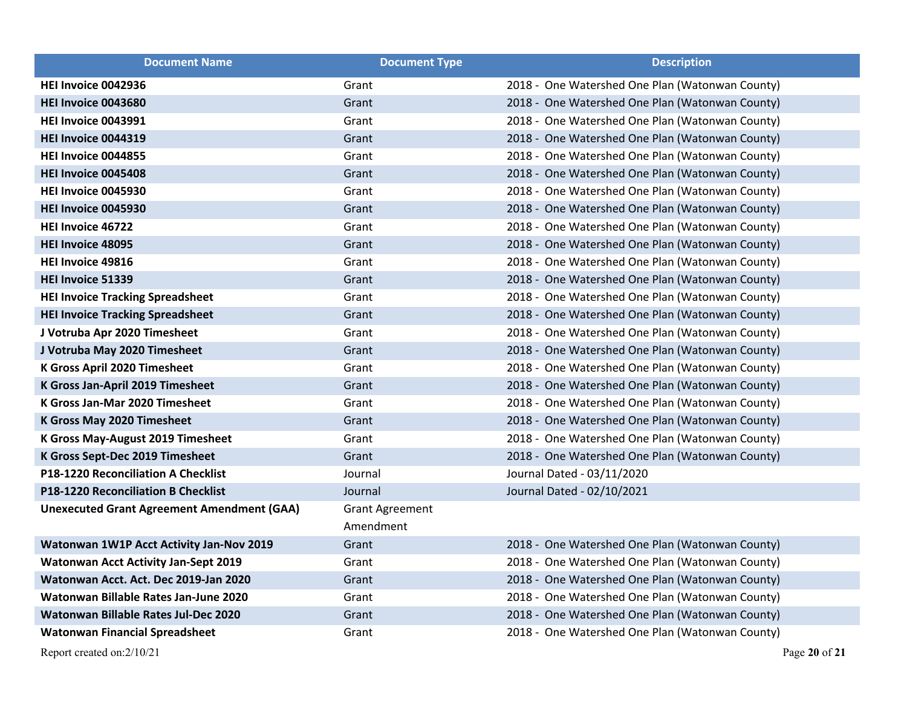| <b>Document Name</b>                              | <b>Document Type</b>                | <b>Description</b>                              |
|---------------------------------------------------|-------------------------------------|-------------------------------------------------|
| HEI Invoice 0042936                               | Grant                               | 2018 - One Watershed One Plan (Watonwan County) |
| HEI Invoice 0043680                               | Grant                               | 2018 - One Watershed One Plan (Watonwan County) |
| HEI Invoice 0043991                               | Grant                               | 2018 - One Watershed One Plan (Watonwan County) |
| <b>HEI Invoice 0044319</b>                        | Grant                               | 2018 - One Watershed One Plan (Watonwan County) |
| HEI Invoice 0044855                               | Grant                               | 2018 - One Watershed One Plan (Watonwan County) |
| HEI Invoice 0045408                               | Grant                               | 2018 - One Watershed One Plan (Watonwan County) |
| HEI Invoice 0045930                               | Grant                               | 2018 - One Watershed One Plan (Watonwan County) |
| <b>HEI Invoice 0045930</b>                        | Grant                               | 2018 - One Watershed One Plan (Watonwan County) |
| HEI Invoice 46722                                 | Grant                               | 2018 - One Watershed One Plan (Watonwan County) |
| <b>HEI Invoice 48095</b>                          | Grant                               | 2018 - One Watershed One Plan (Watonwan County) |
| HEI Invoice 49816                                 | Grant                               | 2018 - One Watershed One Plan (Watonwan County) |
| HEI Invoice 51339                                 | Grant                               | 2018 - One Watershed One Plan (Watonwan County) |
| <b>HEI Invoice Tracking Spreadsheet</b>           | Grant                               | 2018 - One Watershed One Plan (Watonwan County) |
| <b>HEI Invoice Tracking Spreadsheet</b>           | Grant                               | 2018 - One Watershed One Plan (Watonwan County) |
| J Votruba Apr 2020 Timesheet                      | Grant                               | 2018 - One Watershed One Plan (Watonwan County) |
| J Votruba May 2020 Timesheet                      | Grant                               | 2018 - One Watershed One Plan (Watonwan County) |
| K Gross April 2020 Timesheet                      | Grant                               | 2018 - One Watershed One Plan (Watonwan County) |
| K Gross Jan-April 2019 Timesheet                  | Grant                               | 2018 - One Watershed One Plan (Watonwan County) |
| K Gross Jan-Mar 2020 Timesheet                    | Grant                               | 2018 - One Watershed One Plan (Watonwan County) |
| <b>K Gross May 2020 Timesheet</b>                 | Grant                               | 2018 - One Watershed One Plan (Watonwan County) |
| K Gross May-August 2019 Timesheet                 | Grant                               | 2018 - One Watershed One Plan (Watonwan County) |
| K Gross Sept-Dec 2019 Timesheet                   | Grant                               | 2018 - One Watershed One Plan (Watonwan County) |
| P18-1220 Reconciliation A Checklist               | Journal                             | Journal Dated - 03/11/2020                      |
| <b>P18-1220 Reconciliation B Checklist</b>        | Journal                             | Journal Dated - 02/10/2021                      |
| <b>Unexecuted Grant Agreement Amendment (GAA)</b> | <b>Grant Agreement</b><br>Amendment |                                                 |
| <b>Watonwan 1W1P Acct Activity Jan-Nov 2019</b>   | Grant                               | 2018 - One Watershed One Plan (Watonwan County) |
| <b>Watonwan Acct Activity Jan-Sept 2019</b>       | Grant                               | 2018 - One Watershed One Plan (Watonwan County) |
| Watonwan Acct. Act. Dec 2019-Jan 2020             | Grant                               | 2018 - One Watershed One Plan (Watonwan County) |
| Watonwan Billable Rates Jan-June 2020             | Grant                               | 2018 - One Watershed One Plan (Watonwan County) |
| Watonwan Billable Rates Jul-Dec 2020              | Grant                               | 2018 - One Watershed One Plan (Watonwan County) |
| <b>Watonwan Financial Spreadsheet</b>             | Grant                               | 2018 - One Watershed One Plan (Watonwan County) |

Report created on:2/10/21 Page **20** of **21**